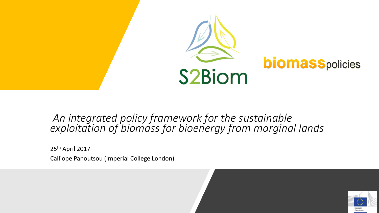

#### *An integrated policy framework for the sustainable exploitation of biomass for bioenergy from marginal lands*

25th April 2017 Calliope Panoutsou (Imperial College London)

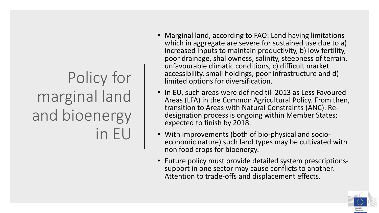# Policy for marginal land and bioenergy in EU

- Marginal land, according to FAO: Land having limitations which in aggregate are severe for sustained use due to a) increased inputs to maintain productivity, b) low fertility, poor drainage, shallowness, salinity, steepness of terrain, unfavourable climatic conditions, c) difficult market accessibility, small holdings, poor infrastructure and d) limited options for diversification.
- In EU, such areas were defined till 2013 as Less Favoured Areas (LFA) in the Common Agricultural Policy. From then, transition to Areas with Natural Constraints (ANC). Redesignation process is ongoing within Member States; expected to finish by 2018.
- With improvements (both of bio-physical and socioeconomic nature) such land types may be cultivated with non food crops for bioenergy.
- Future policy must provide detailed system prescriptionssupport in one sector may cause conflicts to another. Attention to trade-offs and displacement effects.

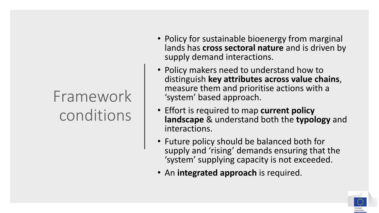# Framework conditions

- Policy for sustainable bioenergy from marginal lands has **cross sectoral nature** and is driven by supply demand interactions.
- Policy makers need to understand how to distinguish **key attributes across value chains**, measure them and prioritise actions with a 'system' based approach.
- Effort is required to map **current policy landscape** & understand both the **typology** and interactions.
- Future policy should be balanced both for supply and 'rising' demands ensuring that the 'system' supplying capacity is not exceeded.
- An **integrated approach** is required.

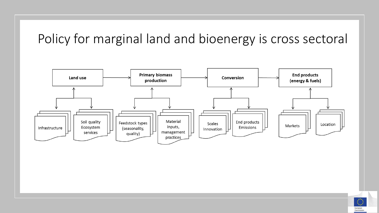### Policy for marginal land and bioenergy is cross sectoral



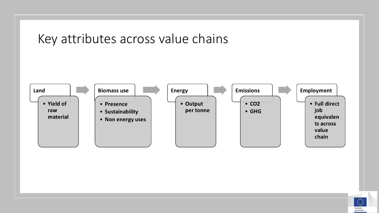

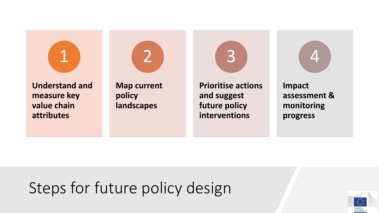



**Understand and measure key value chain attributes**

**Map current policy landscapes**

**Prioritise actions and suggest future policy interventions**

3



**Impact assessment & monitoring progress**

## Steps for future policy design

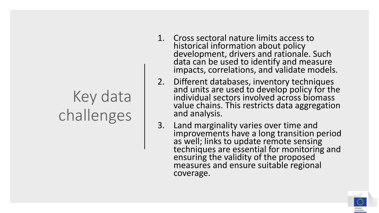# Key data challenges

- 1. Cross sectoral nature limits access to historical information about policy development, drivers and rationale. Such data can be used to identify and measure impacts, correlations, and validate models.
- 2. Different databases, inventory techniques and units are used to develop policy for the individual sectors involved across biomass value chains. This restricts data aggregation and analysis.
- 3. Land marginality varies over time and improvements have a long transition period as well; links to update remote sensing techniques are essential for monitoring and ensuring the validity of the proposed measures and ensure suitable regional coverage.

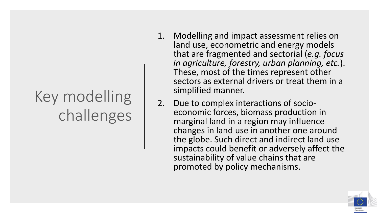# Key modelling challenges

- 1. Modelling and impact assessment relies on land use, econometric and energy models that are fragmented and sectorial (*e.g. focus in agriculture, forestry, urban planning, etc.*). These, most of the times represent other sectors as external drivers or treat them in a simplified manner.
- 2. Due to complex interactions of socioeconomic forces, biomass production in marginal land in a region may influence changes in land use in another one around the globe. Such direct and indirect land use impacts could benefit or adversely affect the sustainability of value chains that are promoted by policy mechanisms.

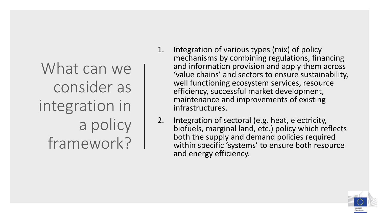What can we consider as integration in a policy framework?

- 1. Integration of various types (mix) of policy mechanisms by combining regulations, financing and information provision and apply them across 'value chains' and sectors to ensure sustainability, well functioning ecosystem services, resource efficiency, successful market development, maintenance and improvements of existing infrastructures.
- 2. Integration of sectoral (e.g. heat, electricity, biofuels, marginal land, etc.) policy which reflects both the supply and demand policies required within specific 'systems' to ensure both resource and energy efficiency.

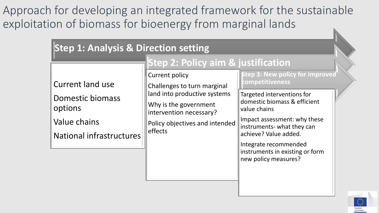Approach for developing an integrated framework for the sustainable exploitation of biomass for bioenergy from marginal lands

| <b>Step 1: Analysis &amp; Direction setting</b>                                                           |                                                                                                                                                                                                                                        |                                                                                                                                                                                                                                                                                                                    |  |  |  |
|-----------------------------------------------------------------------------------------------------------|----------------------------------------------------------------------------------------------------------------------------------------------------------------------------------------------------------------------------------------|--------------------------------------------------------------------------------------------------------------------------------------------------------------------------------------------------------------------------------------------------------------------------------------------------------------------|--|--|--|
| <b>Current land use</b><br><b>Domestic biomass</b><br>options<br>Value chains<br>National infrastructures | <b>Step 2: Policy aim &amp; justification</b><br><b>Current policy</b><br>Challenges to turn marginal<br>land into productive systems<br>Why is the government<br>intervention necessary?<br>Policy objectives and intended<br>effects | <b>Step 3: New policy for improved</b><br>competitiveness<br>Targeted interventions for<br>domestic biomass & efficient<br>value chains<br>Impact assessment: why these<br>instruments- what they can<br>achieve? Value added.<br>Integrate recommended<br>instruments in existing or form<br>new policy measures? |  |  |  |
|                                                                                                           |                                                                                                                                                                                                                                        |                                                                                                                                                                                                                                                                                                                    |  |  |  |

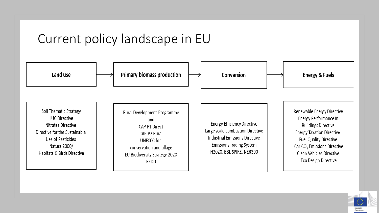#### Current policy landscape in EU



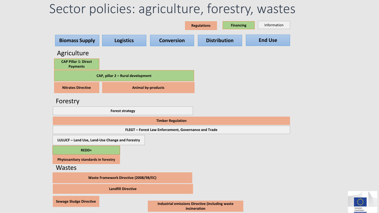### Sector policies: agriculture, forestry, wastes



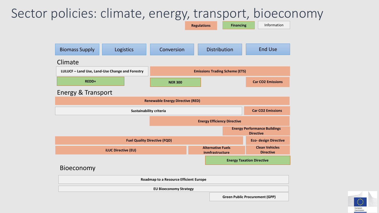### Sector policies: climate, energy, transport, bioeconomy



**EU Bioeconomy Strategy**

**Green Public Procurement (GPP)**

Commissio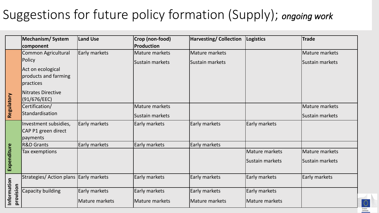### Suggestions for future policy formation (Supply); *ongoing work*

|                          | <b>Mechanism/System</b>                | Land Use       | Crop (non-food) | <b>Harvesting/Collection</b> | Logistics       | <b>Trade</b>         |
|--------------------------|----------------------------------------|----------------|-----------------|------------------------------|-----------------|----------------------|
|                          | component                              |                | Production      |                              |                 |                      |
|                          | <b>Common Agricultural</b>             | Early markets  | Mature markets  | Mature markets               |                 | Mature markets       |
|                          | Policy                                 |                | Sustain markets | Sustain markets              |                 | Sustain markets      |
|                          | Act on ecological                      |                |                 |                              |                 |                      |
|                          | products and farming                   |                |                 |                              |                 |                      |
|                          | practices                              |                |                 |                              |                 |                      |
|                          | Nitrates Directive                     |                |                 |                              |                 |                      |
|                          | (91/676/EEC)                           |                |                 |                              |                 |                      |
|                          | Certification/                         |                | Mature markets  |                              |                 | Mature markets       |
| Regulatory               | Standardisation                        |                | Sustain markets |                              |                 | Sustain markets      |
|                          | Investment subsidies,                  | Early markets  | Early markets   | Early markets                | Early markets   |                      |
|                          | CAP P1 green direct                    |                |                 |                              |                 |                      |
|                          | payments                               |                |                 |                              |                 |                      |
|                          | <b>R&amp;D Grants</b>                  | Early markets  | Early markets   | Early markets                |                 |                      |
|                          | Tax exemptions                         |                |                 |                              | Mature markets  | Mature markets       |
| Expenditure              |                                        |                |                 |                              | Sustain markets | Sustain markets      |
|                          | Strategies/ Action plans Early markets |                | Early markets   | Early markets                | Early markets   | <b>Early markets</b> |
|                          | Capacity building                      | Early markets  | Early markets   | Early markets                | Early markets   |                      |
| Information<br>provision |                                        | Mature markets | Mature markets  | Mature markets               | Mature markets  |                      |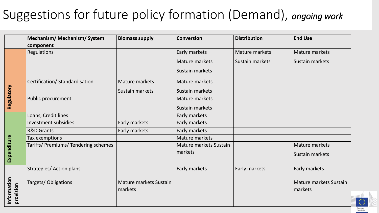### Suggestions for future policy formation (Demand), *ongoing work*

|                          | <b>Mechanism/ Mechanism/ System</b>  | <b>Biomass supply</b>             | <b>Conversion</b>      | <b>Distribution</b> | <b>End Use</b>                    |
|--------------------------|--------------------------------------|-----------------------------------|------------------------|---------------------|-----------------------------------|
|                          | component                            |                                   |                        |                     |                                   |
| Regulatory               | Regulations                          |                                   | Early markets          | Mature markets      | Mature markets                    |
|                          |                                      |                                   | Mature markets         | Sustain markets     | Sustain markets                   |
|                          |                                      |                                   | Sustain markets        |                     |                                   |
|                          | Certification/ Standardisation       | Mature markets                    | Mature markets         |                     |                                   |
|                          |                                      | Sustain markets                   | Sustain markets        |                     |                                   |
|                          | Public procurement                   |                                   | Mature markets         |                     |                                   |
|                          |                                      |                                   | Sustain markets        |                     |                                   |
| Expenditure              | Loans, Credit lines                  |                                   | Early markets          |                     |                                   |
|                          | Investment subsidies                 | Early markets                     | Early markets          |                     |                                   |
|                          | <b>R&amp;D Grants</b>                | Early markets                     | Early markets          |                     |                                   |
|                          | Tax exemptions                       |                                   | Mature markets         |                     |                                   |
|                          | Tariffs/ Premiums/ Tendering schemes |                                   | Mature markets Sustain |                     | Mature markets                    |
|                          |                                      |                                   | markets                |                     | Sustain markets                   |
|                          | Strategies/ Action plans             |                                   | Early markets          | Early markets       | Early markets                     |
| Information<br>provision | Targets/Obligations                  | Mature markets Sustain<br>markets |                        |                     | Mature markets Sustain<br>markets |

Europea Commicci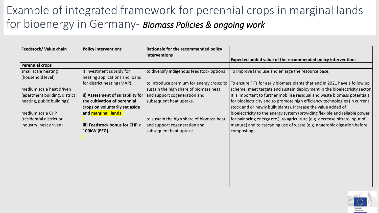### Example of integrated framework for perennial crops in marginal lands for bioenergy in Germany- *Biomass Policies & ongoing work*

| Feedstock/ Value chain        | <b>Policy interventions</b>       | Rationale for the recommended policy      |                                                                            |
|-------------------------------|-----------------------------------|-------------------------------------------|----------------------------------------------------------------------------|
|                               |                                   | interventions                             | Expected added value of the recommended policy interventions               |
| <b>Perennial crops</b>        |                                   |                                           |                                                                            |
| small scale heating           | i) Investment subsidy for         | to diversify indigenous feedstock options | To improve land use and enlarge the resource base.                         |
| (household level)             | heating applications and loans    |                                           |                                                                            |
|                               | for district heating (MAP).       | to introduce premium for energy crops; to | To ensure FiTs for early biomass plants that end in 2021 have a follow up  |
| medium scale heat driven      |                                   | sustain the high share of biomass heat    | scheme, meet targets and sustain deployment in the bioelectricity sector   |
| (apartment building, district | ii) Assessment of suitability for | and support cogeneration and              | it is important to further mobilise residual and waste biomass potentials, |
| heating, public buildings)    | the cultivation of perennial      | subsequent heat uptake.                   | for bioelectricity and to promote high efficiency technologies (in current |
|                               | crops on voluntarily set aside    |                                           | stock and or newly built plants). Increase the value added of              |
| medium scale CHP              | and marginal lands                |                                           | bioelectricity to the energy system (providing flexible and reliable power |
| (residential district or      |                                   | to sustain the high share of biomass heat | for balancing energy etc.), to agriculture (e.g. decrease nitrate input of |
| industry; heat driven)        | iii) Feedstock bonus for CHP <    | and support cogeneration and              | manure) and to cascading use of waste (e.g. anaerobic digestion before     |
|                               | 100kW (EEG).                      | subsequent heat uptake.                   | composting).                                                               |
|                               |                                   |                                           |                                                                            |
|                               |                                   |                                           |                                                                            |
|                               |                                   |                                           |                                                                            |
|                               |                                   |                                           |                                                                            |
|                               |                                   |                                           |                                                                            |
|                               |                                   |                                           |                                                                            |
|                               |                                   |                                           |                                                                            |
|                               |                                   |                                           |                                                                            |
|                               |                                   |                                           |                                                                            |

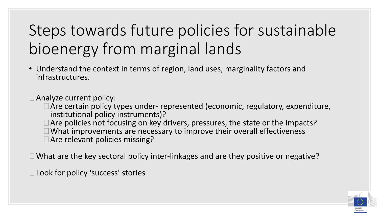# Steps towards future policies for sustainable bioenergy from marginal lands

• Understand the context in terms of region, land uses, marginality factors and infrastructures.

 $\Box$  Analyze current policy:

- □ Are certain policy types under- represented (economic, regulatory, expenditure, institutional policy instruments)?
- $\Box$  Are policies not focusing on key drivers, pressures, the state or the impacts?  $\Box$  What improvements are necessary to improve their overall effectiveness □ Are relevant policies missing?

 $\Box$  What are the key sectoral policy inter-linkages and are they positive or negative?

□ Look for policy 'success' stories

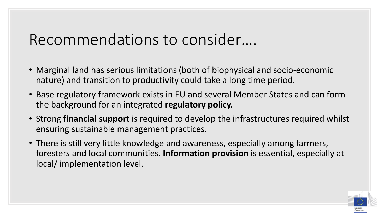## Recommendations to consider….

- Marginal land has serious limitations (both of biophysical and socio-economic nature) and transition to productivity could take a long time period.
- Base regulatory framework exists in EU and several Member States and can form the background for an integrated **regulatory policy.**
- Strong **financial support** is required to develop the infrastructures required whilst ensuring sustainable management practices.
- There is still very little knowledge and awareness, especially among farmers, foresters and local communities. **Information provision** is essential, especially at local/ implementation level.